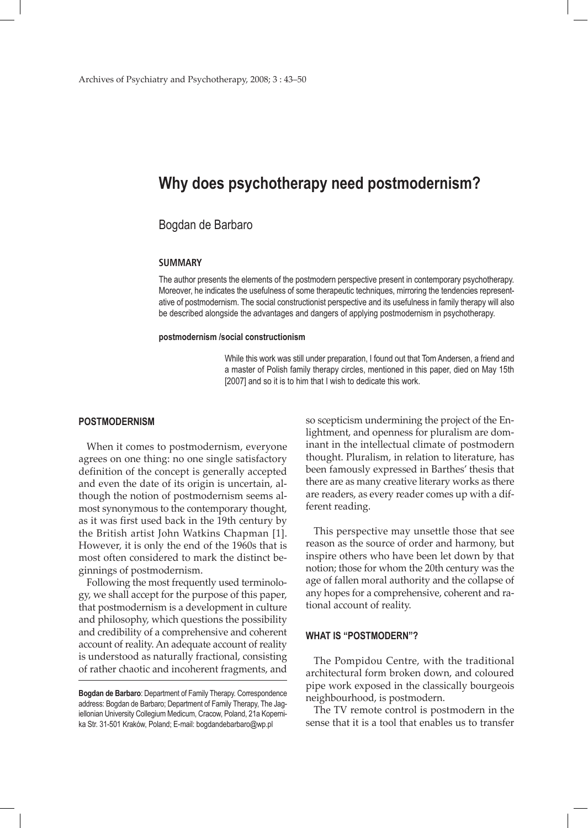# **Why does psychotherapy need postmodernism?**

# Bogdan de Barbaro

#### **SUMMARY**

The author presents the elements of the postmodern perspective present in contemporary psychotherapy. Moreover, he indicates the usefulness of some therapeutic techniques, mirroring the tendencies representative of postmodernism. The social constructionist perspective and its usefulness in family therapy will also be described alongside the advantages and dangers of applying postmodernism in psychotherapy.

#### **postmodernism /social constructionism**

While this work was still under preparation, I found out that Tom Andersen, a friend and a master of Polish family therapy circles, mentioned in this paper, died on May 15th [2007] and so it is to him that I wish to dedicate this work.

### **POSTMODERNISM**

When it comes to postmodernism, everyone agrees on one thing: no one single satisfactory definition of the concept is generally accepted and even the date of its origin is uncertain, although the notion of postmodernism seems almost synonymous to the contemporary thought, as it was first used back in the 19th century by the British artist John Watkins Chapman [1]. However, it is only the end of the 1960s that is most often considered to mark the distinct beginnings of postmodernism.

Following the most frequently used terminology, we shall accept for the purpose of this paper, that postmodernism is a development in culture and philosophy, which questions the possibility and credibility of a comprehensive and coherent account of reality. An adequate account of reality is understood as naturally fractional, consisting of rather chaotic and incoherent fragments, and

so scepticism undermining the project of the Enlightment, and openness for pluralism are dominant in the intellectual climate of postmodern thought. Pluralism, in relation to literature, has been famously expressed in Barthes' thesis that there are as many creative literary works as there are readers, as every reader comes up with a different reading.

This perspective may unsettle those that see reason as the source of order and harmony, but inspire others who have been let down by that notion; those for whom the 20th century was the age of fallen moral authority and the collapse of any hopes for a comprehensive, coherent and rational account of reality.

# **WHAT IS "POSTMODERN"?**

The Pompidou Centre, with the traditional architectural form broken down, and coloured pipe work exposed in the classically bourgeois neighbourhood, is postmodern.

The TV remote control is postmodern in the sense that it is a tool that enables us to transfer

**Bogdan de Barbaro**: Department of Family Therapy. Correspondence address: Bogdan de Barbaro; Department of Family Therapy, The Jagiellonian University Collegium Medicum, Cracow, Poland, 21a Kopernika Str. 31-501 Kraków, Poland; E-mail: bogdandebarbaro@wp.pl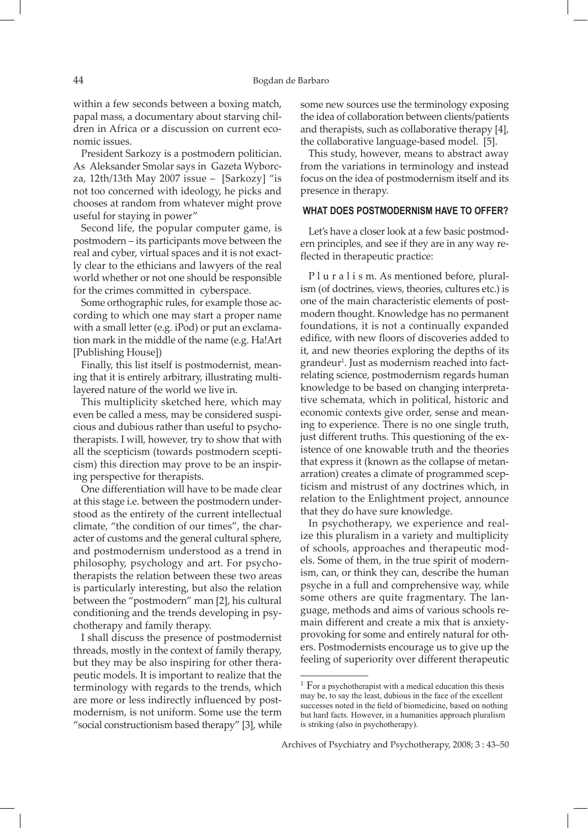within a few seconds between a boxing match, papal mass, a documentary about starving children in Africa or a discussion on current economic issues.

President Sarkozy is a postmodern politician. As Aleksander Smolar says in Gazeta Wyborcza, 12th/13th May 2007 issue – [Sarkozy] "is not too concerned with ideology, he picks and chooses at random from whatever might prove useful for staying in power"

Second life, the popular computer game, is postmodern – its participants move between the real and cyber, virtual spaces and it is not exactly clear to the ethicians and lawyers of the real world whether or not one should be responsible for the crimes committed in cyberspace.

Some orthographic rules, for example those according to which one may start a proper name with a small letter (e.g. iPod) or put an exclamation mark in the middle of the name (e.g. Ha!Art [Publishing House])

Finally, this list itself is postmodernist, meaning that it is entirely arbitrary, illustrating multilayered nature of the world we live in.

This multiplicity sketched here, which may even be called a mess, may be considered suspicious and dubious rather than useful to psychotherapists. I will, however, try to show that with all the scepticism (towards postmodern scepticism) this direction may prove to be an inspiring perspective for therapists.

One differentiation will have to be made clear at this stage i.e. between the postmodern understood as the entirety of the current intellectual climate, "the condition of our times", the character of customs and the general cultural sphere, and postmodernism understood as a trend in philosophy, psychology and art. For psychotherapists the relation between these two areas is particularly interesting, but also the relation between the "postmodern" man [2], his cultural conditioning and the trends developing in psychotherapy and family therapy.

I shall discuss the presence of postmodernist threads, mostly in the context of family therapy, but they may be also inspiring for other therapeutic models. It is important to realize that the terminology with regards to the trends, which are more or less indirectly influenced by postmodernism, is not uniform. Some use the term "social constructionism based therapy" [3], while

some new sources use the terminology exposing the idea of collaboration between clients/patients and therapists, such as collaborative therapy [4], the collaborative language-based model. [5].

This study, however, means to abstract away from the variations in terminology and instead focus on the idea of postmodernism itself and its presence in therapy.

## **WHAT DOES POSTMODERNISM HAVE TO OFFER?**

Let's have a closer look at a few basic postmodern principles, and see if they are in any way reflected in therapeutic practice:

P l u r a l i s m. As mentioned before, pluralism (of doctrines, views, theories, cultures etc.) is one of the main characteristic elements of postmodern thought. Knowledge has no permanent foundations, it is not a continually expanded edifice, with new floors of discoveries added to it, and new theories exploring the depths of its grandeur<sup>1</sup>. Just as modernism reached into factrelating science, postmodernism regards human knowledge to be based on changing interpretative schemata, which in political, historic and economic contexts give order, sense and meaning to experience. There is no one single truth, just different truths. This questioning of the existence of one knowable truth and the theories that express it (known as the collapse of metanarration) creates a climate of programmed scepticism and mistrust of any doctrines which, in relation to the Enlightment project, announce that they do have sure knowledge.

In psychotherapy, we experience and realize this pluralism in a variety and multiplicity of schools, approaches and therapeutic models. Some of them, in the true spirit of modernism, can, or think they can, describe the human psyche in a full and comprehensive way, while some others are quite fragmentary. The language, methods and aims of various schools remain different and create a mix that is anxietyprovoking for some and entirely natural for others. Postmodernists encourage us to give up the feeling of superiority over different therapeutic

<sup>&</sup>lt;sup>1</sup> For a psychotherapist with a medical education this thesis may be, to say the least, dubious in the face of the excellent successes noted in the field of biomedicine, based on nothing but hard facts. However, in a humanities approach pluralism is striking (also in psychotherapy).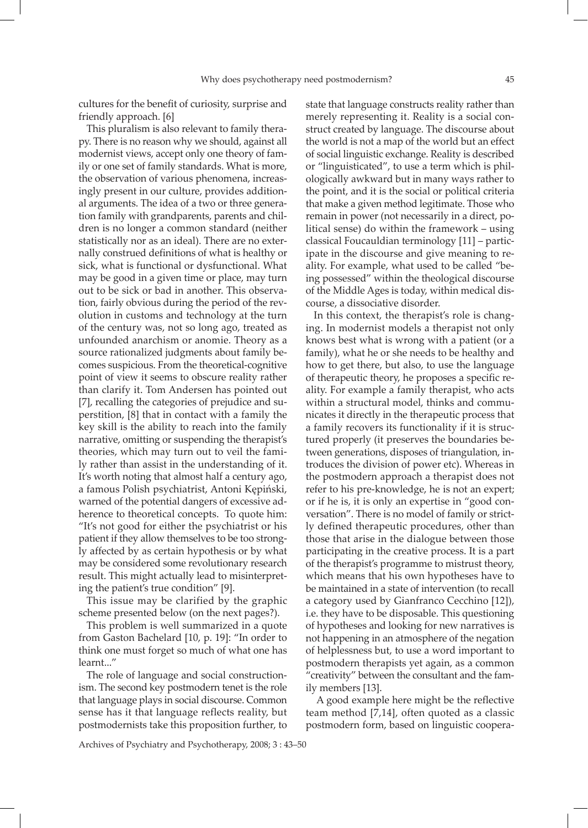cultures for the benefit of curiosity, surprise and friendly approach. [6]

This pluralism is also relevant to family therapy. There is no reason why we should, against all modernist views, accept only one theory of family or one set of family standards. What is more, the observation of various phenomena, increasingly present in our culture, provides additional arguments. The idea of a two or three generation family with grandparents, parents and children is no longer a common standard (neither statistically nor as an ideal). There are no externally construed definitions of what is healthy or sick, what is functional or dysfunctional. What may be good in a given time or place, may turn out to be sick or bad in another. This observation, fairly obvious during the period of the revolution in customs and technology at the turn of the century was, not so long ago, treated as unfounded anarchism or anomie. Theory as a source rationalized judgments about family becomes suspicious. From the theoretical-cognitive point of view it seems to obscure reality rather than clarify it. Tom Andersen has pointed out [7], recalling the categories of prejudice and superstition, [8] that in contact with a family the key skill is the ability to reach into the family narrative, omitting or suspending the therapist's theories, which may turn out to veil the family rather than assist in the understanding of it. It's worth noting that almost half a century ago, a famous Polish psychiatrist, Antoni Kępiński, warned of the potential dangers of excessive adherence to theoretical concepts. To quote him: "It's not good for either the psychiatrist or his patient if they allow themselves to be too strongly affected by as certain hypothesis or by what may be considered some revolutionary research result. This might actually lead to misinterpreting the patient's true condition" [9].

This issue may be clarified by the graphic scheme presented below (on the next pages?).

This problem is well summarized in a quote from Gaston Bachelard [10, p. 19]: "In order to think one must forget so much of what one has learnt..."

The role of language and social constructionism. The second key postmodern tenet is the role that language plays in social discourse. Common sense has it that language reflects reality, but postmodernists take this proposition further, to

state that language constructs reality rather than merely representing it. Reality is a social construct created by language. The discourse about the world is not a map of the world but an effect of social linguistic exchange. Reality is described or "linguisticated", to use a term which is philologically awkward but in many ways rather to the point, and it is the social or political criteria that make a given method legitimate. Those who remain in power (not necessarily in a direct, political sense) do within the framework – using classical Foucauldian terminology [11] – participate in the discourse and give meaning to reality. For example, what used to be called "being possessed" within the theological discourse of the Middle Ages is today, within medical discourse, a dissociative disorder.

In this context, the therapist's role is changing. In modernist models a therapist not only knows best what is wrong with a patient (or a family), what he or she needs to be healthy and how to get there, but also, to use the language of therapeutic theory, he proposes a specific reality. For example a family therapist, who acts within a structural model, thinks and communicates it directly in the therapeutic process that a family recovers its functionality if it is structured properly (it preserves the boundaries between generations, disposes of triangulation, introduces the division of power etc). Whereas in the postmodern approach a therapist does not refer to his pre-knowledge, he is not an expert; or if he is, it is only an expertise in "good conversation". There is no model of family or strictly defined therapeutic procedures, other than those that arise in the dialogue between those participating in the creative process. It is a part of the therapist's programme to mistrust theory, which means that his own hypotheses have to be maintained in a state of intervention (to recall a category used by Gianfranco Cecchino [12]), i.e. they have to be disposable. This questioning of hypotheses and looking for new narratives is not happening in an atmosphere of the negation of helplessness but, to use a word important to postmodern therapists yet again, as a common "creativity" between the consultant and the family members [13].

 A good example here might be the reflective team method [7,14], often quoted as a classic postmodern form, based on linguistic coopera-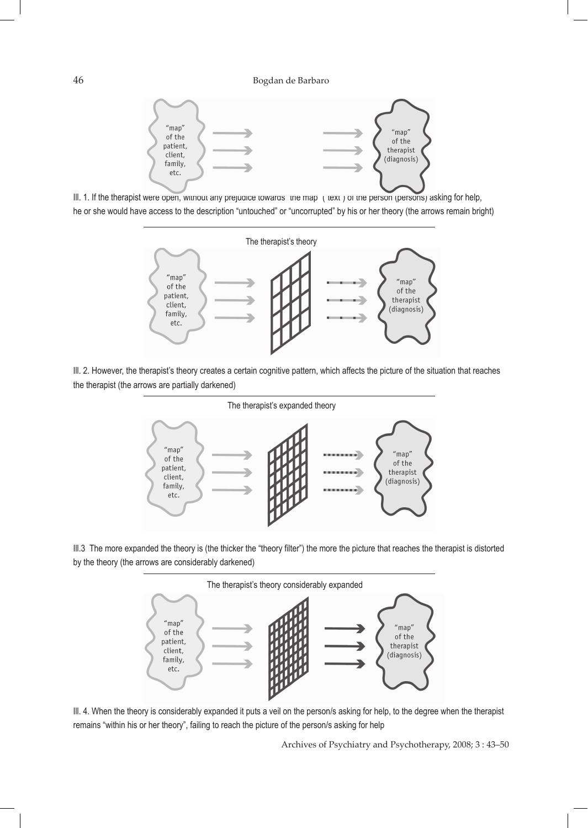





Ill. 2. However, the therapist's theory creates a certain cognitive pattern, which affects the picture of the situation that reaches the therapist (the arrows are partially darkened)



Ill.3 The more expanded the theory is (the thicker the "theory filter") the more the picture that reaches the therapist is distorted by the theory (the arrows are considerably darkened)



Ill. 4. When the theory is considerably expanded it puts a veil on the person/s asking for help, to the degree when the therapist remains "within his or her theory", failing to reach the picture of the person/s asking for help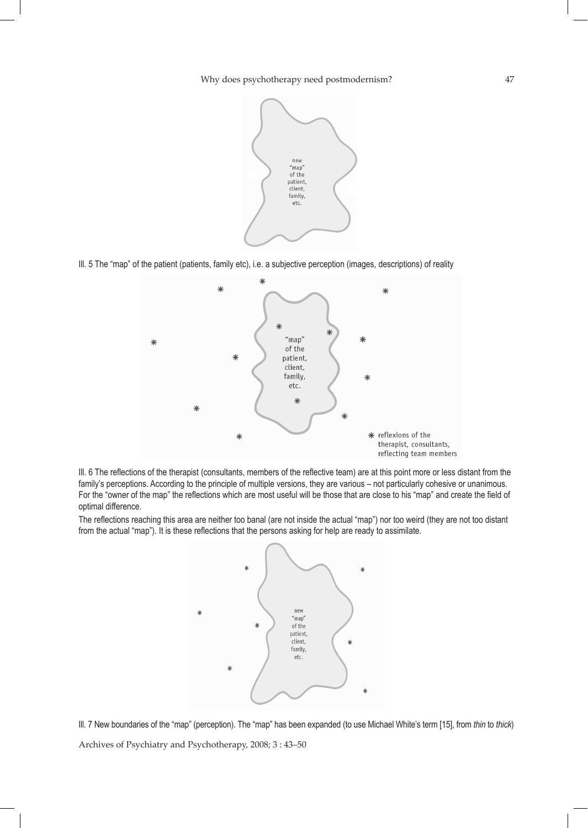Why does psychotherapy need postmodernism? 47



Ill. 5 The "map" of the patient (patients, family etc), i.e. a subjective perception (images, descriptions) of reality



Ill. 6 The reflections of the therapist (consultants, members of the reflective team) are at this point more or less distant from the family's perceptions. According to the principle of multiple versions, they are various – not particularly cohesive or unanimous. For the "owner of the map" the reflections which are most useful will be those that are close to his "map" and create the field of optimal difference.

The reflections reaching this area are neither too banal (are not inside the actual "map") nor too weird (they are not too distant from the actual "map"). It is these reflections that the persons asking for help are ready to assimilate.



Archives of Psychiatry and Psychotherapy, 2008; 3 : 43–50 Ill. 7 New boundaries of the "map" (perception). The "map" has been expanded (to use Michael White's term [15], from *thin* to *thick*)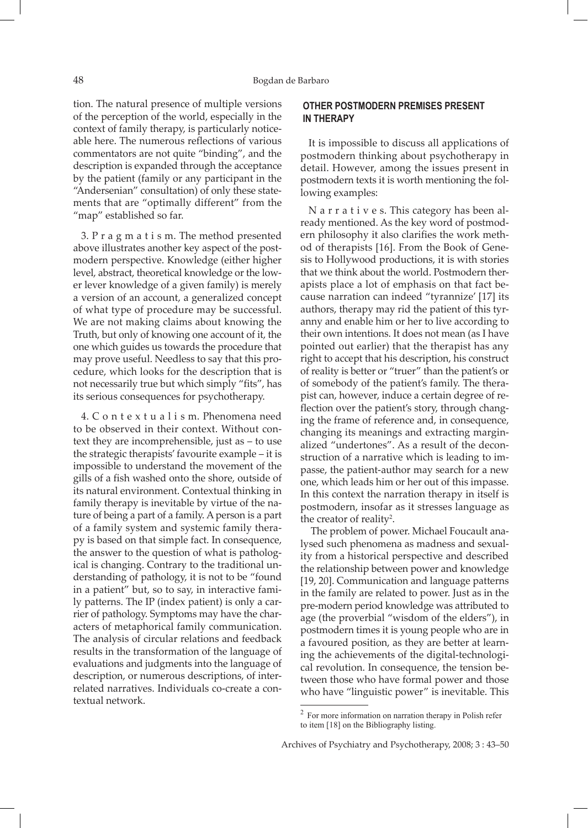tion. The natural presence of multiple versions of the perception of the world, especially in the context of family therapy, is particularly noticeable here. The numerous reflections of various commentators are not quite "binding", and the description is expanded through the acceptance by the patient (family or any participant in the "Andersenian" consultation) of only these statements that are "optimally different" from the "map" established so far.

3. P r a g m a t i s m. The method presented above illustrates another key aspect of the postmodern perspective. Knowledge (either higher level, abstract, theoretical knowledge or the lower lever knowledge of a given family) is merely a version of an account, a generalized concept of what type of procedure may be successful. We are not making claims about knowing the Truth, but only of knowing one account of it, the one which guides us towards the procedure that may prove useful. Needless to say that this procedure, which looks for the description that is not necessarily true but which simply "fits", has its serious consequences for psychotherapy.

4. C o n t e x t u a l i s m. Phenomena need to be observed in their context. Without context they are incomprehensible, just as – to use the strategic therapists' favourite example – it is impossible to understand the movement of the gills of a fish washed onto the shore, outside of its natural environment. Contextual thinking in family therapy is inevitable by virtue of the nature of being a part of a family. A person is a part of a family system and systemic family therapy is based on that simple fact. In consequence, the answer to the question of what is pathological is changing. Contrary to the traditional understanding of pathology, it is not to be "found in a patient" but, so to say, in interactive family patterns. The IP (index patient) is only a carrier of pathology. Symptoms may have the characters of metaphorical family communication. The analysis of circular relations and feedback results in the transformation of the language of evaluations and judgments into the language of description, or numerous descriptions, of interrelated narratives. Individuals co-create a contextual network.

# **OTHER POSTMODERN PREMISES PRESENT IN THERAPY**

It is impossible to discuss all applications of postmodern thinking about psychotherapy in detail. However, among the issues present in postmodern texts it is worth mentioning the following examples:

N a r r a t i v e s. This category has been already mentioned. As the key word of postmodern philosophy it also clarifies the work method of therapists [16]. From the Book of Genesis to Hollywood productions, it is with stories that we think about the world. Postmodern therapists place a lot of emphasis on that fact because narration can indeed "tyrannize' [17] its authors, therapy may rid the patient of this tyranny and enable him or her to live according to their own intentions. It does not mean (as I have pointed out earlier) that the therapist has any right to accept that his description, his construct of reality is better or "truer" than the patient's or of somebody of the patient's family. The therapist can, however, induce a certain degree of reflection over the patient's story, through changing the frame of reference and, in consequence, changing its meanings and extracting marginalized "undertones". As a result of the deconstruction of a narrative which is leading to impasse, the patient-author may search for a new one, which leads him or her out of this impasse. In this context the narration therapy in itself is postmodern, insofar as it stresses language as the creator of reality<sup>2</sup>.

 The problem of power. Michael Foucault analysed such phenomena as madness and sexuality from a historical perspective and described the relationship between power and knowledge [19, 20]. Communication and language patterns in the family are related to power. Just as in the pre-modern period knowledge was attributed to age (the proverbial "wisdom of the elders"), in postmodern times it is young people who are in a favoured position, as they are better at learning the achievements of the digital-technological revolution. In consequence, the tension between those who have formal power and those who have "linguistic power" is inevitable. This

<sup>2</sup> For more information on narration therapy in Polish refer to item [18] on the Bibliography listing.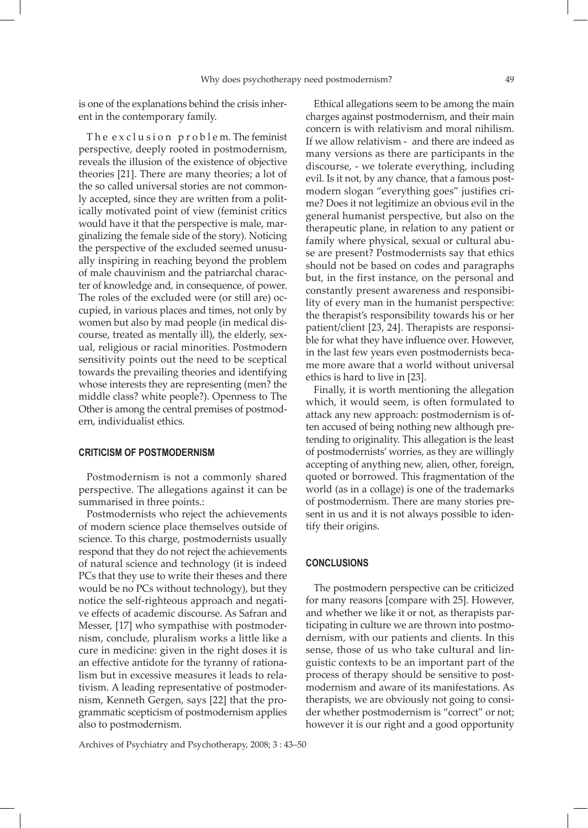is one of the explanations behind the crisis inherent in the contemporary family.

The exclusion problem. The feminist perspective, deeply rooted in postmodernism, reveals the illusion of the existence of objective theories [21]. There are many theories; a lot of the so called universal stories are not commonly accepted, since they are written from a politically motivated point of view (feminist critics would have it that the perspective is male, marginalizing the female side of the story). Noticing the perspective of the excluded seemed unusually inspiring in reaching beyond the problem of male chauvinism and the patriarchal character of knowledge and, in consequence, of power. The roles of the excluded were (or still are) occupied, in various places and times, not only by women but also by mad people (in medical discourse, treated as mentally ill), the elderly, sexual, religious or racial minorities. Postmodern sensitivity points out the need to be sceptical towards the prevailing theories and identifying whose interests they are representing (men? the middle class? white people?). Openness to The Other is among the central premises of postmodern, individualist ethics.

#### **CRITICISM OF POSTMODERNISM**

Postmodernism is not a commonly shared perspective. The allegations against it can be summarised in three points.:

Postmodernists who reject the achievements of modern science place themselves outside of science. To this charge, postmodernists usually respond that they do not reject the achievements of natural science and technology (it is indeed PCs that they use to write their theses and there would be no PCs without technology), but they notice the self-righteous approach and negative effects of academic discourse. As Safran and Messer, [17] who sympathise with postmodernism, conclude, pluralism works a little like a cure in medicine: given in the right doses it is an effective antidote for the tyranny of rationalism but in excessive measures it leads to relativism. A leading representative of postmodernism, Kenneth Gergen, says [22] that the programmatic scepticism of postmodernism applies also to postmodernism.

Ethical allegations seem to be among the main charges against postmodernism, and their main concern is with relativism and moral nihilism. If we allow relativism - and there are indeed as many versions as there are participants in the discourse, - we tolerate everything, including evil. Is it not, by any chance, that a famous postmodern slogan "everything goes" justifies crime? Does it not legitimize an obvious evil in the general humanist perspective, but also on the therapeutic plane, in relation to any patient or family where physical, sexual or cultural abuse are present? Postmodernists say that ethics should not be based on codes and paragraphs but, in the first instance, on the personal and constantly present awareness and responsibility of every man in the humanist perspective: the therapist's responsibility towards his or her patient/client [23, 24]. Therapists are responsible for what they have influence over. However, in the last few years even postmodernists became more aware that a world without universal ethics is hard to live in [23].

Finally, it is worth mentioning the allegation which, it would seem, is often formulated to attack any new approach: postmodernism is often accused of being nothing new although pretending to originality. This allegation is the least of postmodernists' worries, as they are willingly accepting of anything new, alien, other, foreign, quoted or borrowed. This fragmentation of the world (as in a collage) is one of the trademarks of postmodernism. There are many stories present in us and it is not always possible to identify their origins.

### **CONCLUSIONS**

The postmodern perspective can be criticized for many reasons [compare with 25]. However, and whether we like it or not, as therapists participating in culture we are thrown into postmodernism, with our patients and clients. In this sense, those of us who take cultural and linguistic contexts to be an important part of the process of therapy should be sensitive to postmodernism and aware of its manifestations. As therapists, we are obviously not going to consider whether postmodernism is "correct" or not; however it is our right and a good opportunity